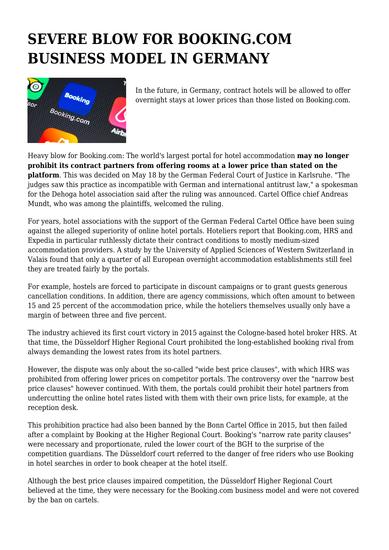## **SEVERE BLOW FOR BOOKING.COM BUSINESS MODEL IN GERMANY**



In the future, in Germany, contract hotels will be allowed to offer overnight stays at lower prices than those listed on Booking.com.

Heavy blow for Booking.com: The world's largest portal for hotel accommodation **may no longer prohibit its contract partners from offering rooms at a lower price than stated on the platform**. This was decided on May 18 by the German Federal Court of Justice in Karlsruhe. "The judges saw this practice as incompatible with German and international antitrust law," a spokesman for the Dehoga hotel association said after the ruling was announced. Cartel Office chief Andreas Mundt, who was among the plaintiffs, welcomed the ruling.

For years, hotel associations with the support of the German Federal Cartel Office have been suing against the alleged superiority of online hotel portals. Hoteliers report that Booking.com, HRS and Expedia in particular ruthlessly dictate their contract conditions to mostly medium-sized accommodation providers. A study by the University of Applied Sciences of Western Switzerland in Valais found that only a quarter of all European overnight accommodation establishments still feel they are treated fairly by the portals.

For example, hostels are forced to participate in discount campaigns or to grant guests generous cancellation conditions. In addition, there are agency commissions, which often amount to between 15 and 25 percent of the accommodation price, while the hoteliers themselves usually only have a margin of between three and five percent.

The industry achieved its first court victory in 2015 against the Cologne-based hotel broker HRS. At that time, the Düsseldorf Higher Regional Court prohibited the long-established booking rival from always demanding the lowest rates from its hotel partners.

However, the dispute was only about the so-called "wide best price clauses", with which HRS was prohibited from offering lower prices on competitor portals. The controversy over the "narrow best price clauses" however continued. With them, the portals could prohibit their hotel partners from undercutting the online hotel rates listed with them with their own price lists, for example, at the reception desk.

This prohibition practice had also been banned by the Bonn Cartel Office in 2015, but then failed after a complaint by Booking at the Higher Regional Court. Booking's "narrow rate parity clauses" were necessary and proportionate, ruled the lower court of the BGH to the surprise of the competition guardians. The Düsseldorf court referred to the danger of free riders who use Booking in hotel searches in order to book cheaper at the hotel itself.

Although the best price clauses impaired competition, the Düsseldorf Higher Regional Court believed at the time, they were necessary for the Booking.com business model and were not covered by the ban on cartels.